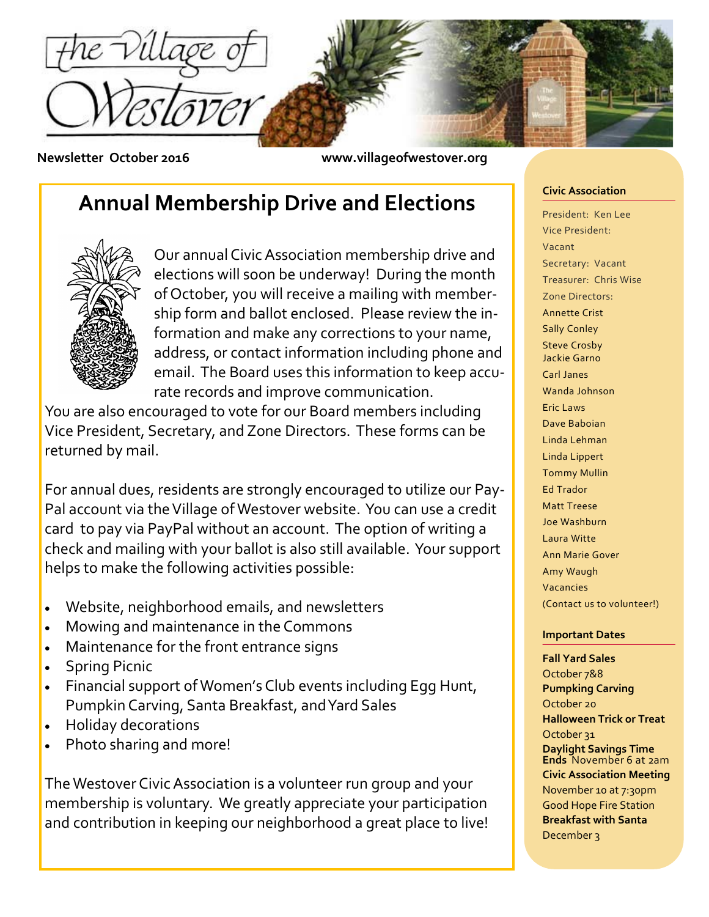

**Newsletter October 2016 www.villageofwestover.org**

# **Annual Membership Drive and Elections**



Our annual Civic Association membership drive and elections will soon be underway! During the month of October, you will receive a mailing with membership form and ballot enclosed. Please review the information and make any corrections to your name, address, or contact information including phone and email. The Board uses this information to keep accurate records and improve communication.

You are also encouraged to vote for our Board members including Vice President, Secretary, and Zone Directors. These forms can be returned by mail.

For annual dues, residents are strongly encouraged to utilize our Pay-Pal account via the Village of Westover website. You can use a credit card to pay via PayPal without an account. The option of writing a check and mailing with your ballot is also still available. Your support helps to make the following activities possible:

- Website, neighborhood emails, and newsletters
- Mowing and maintenance in the Commons
- Maintenance for the front entrance signs
- Spring Picnic
- Financial support of Women's Club events including Egg Hunt, Pumpkin Carving, Santa Breakfast, and Yard Sales
- Holiday decorations
- Photo sharing and more!

The Westover Civic Association is a volunteer run group and your membership is voluntary. We greatly appreciate your participation and contribution in keeping our neighborhood a great place to live!

#### **Civic Association**

President: Ken Lee Vice President: Vacant Secretary: Vacant Treasurer: Chris Wise Zone Directors: Annette Crist Sally Conley Steve Crosby Jackie Garno Carl Janes Wanda Johnson Eric Laws Dave Baboian Linda Lehman Linda Lippert Tommy Mullin Ed Trador Matt Treese Joe Washburn Laura Witte Ann Marie Gover Amy Waugh Vacancies (Contact us to volunteer!)

### **Important Dates**

**Fall Yard Sales** October 7&8 **Pumpking Carving** October 20 **Halloween Trick or Treat** October 31 **Daylight Savings Time Ends** November 6 at 2am **Civic Association Meeting** November 10 at 7:30pm Good Hope Fire Station **Breakfast with Santa** December 3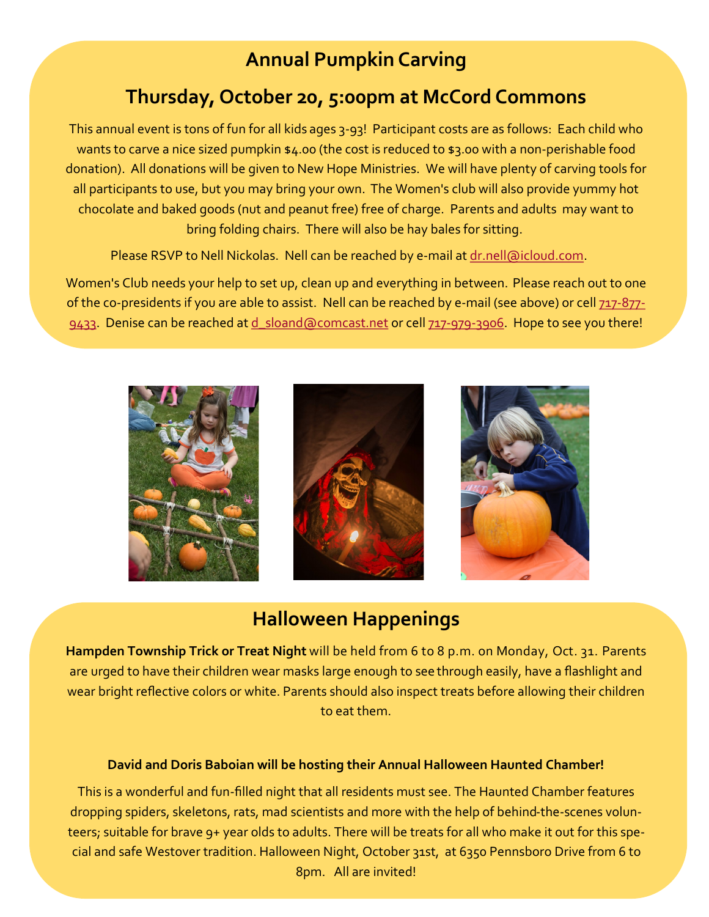# **Annual Pumpkin Carving**

# **Thursday, October 20, 5:00pm at McCord Commons**

This annual event is tons of fun for all kids ages 3-93! Participant costs are as follows: Each child who wants to carve a nice sized pumpkin \$4.00 (the cost is reduced to \$3.00 with a non-perishable food donation). All donations will be given to New Hope Ministries. We will have plenty of carving tools for all participants to use, but you may bring your own. The Women's club will also provide yummy hot chocolate and baked goods (nut and peanut free) free of charge. Parents and adults may want to bring folding chairs. There will also be hay bales for sitting.

Please RSVP to Nell Nickolas. Nell can be reached by e-mail at [dr.nell@icloud.com.](mailto:dr.nell@icloud.com)

Women's Club needs your help to set up, clean up and everything in between. Please reach out to one of the co-presidents if you are able to assist. Nell can be reached by e-mail (see above) or cell 717-[877](tel:717-877-9433)-[9433.](tel:717-877-9433) Denise can be reached at d sloand@comcast.net or cell 717-979-[3906.](tel:717-979-3906) Hope to see you there!







## **Halloween Happenings**

**Hampden Township Trick or Treat Night** will be held from 6 to 8 p.m. on Monday, Oct. 31. Parents are urged to have their children wear masks large enough to see through easily, have a flashlight and wear bright reflective colors or white. Parents should also inspect treats before allowing their children to eat them.

### **David and Doris Baboian will be hosting their Annual Halloween Haunted Chamber!**

This is a wonderful and fun-filled night that all residents must see. The Haunted Chamber features dropping spiders, skeletons, rats, mad scientists and more with the help of behind-the-scenes volunteers; suitable for brave 9+ year olds to adults. There will be treats for all who make it out for this special and safe Westover tradition. Halloween Night, October 31st, at 6350 Pennsboro Drive from 6 to 8pm. All are invited!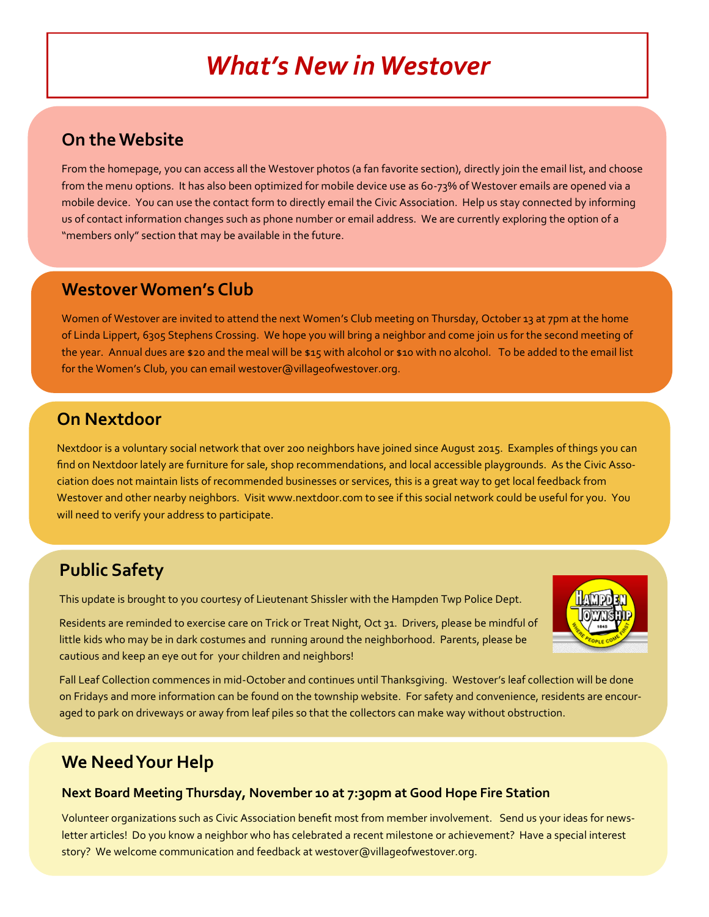# *What's New in Westover*

### **On the Website**

From the homepage, you can access all the Westover photos (a fan favorite section), directly join the email list, and choose from the menu options. It has also been optimized for mobile device use as 60-73% of Westover emails are opened via a mobile device. You can use the contact form to directly email the Civic Association. Help us stay connected by informing us of contact information changes such as phone number or email address. We are currently exploring the option of a "members only" section that may be available in the future.

### **Westover Women's Club**

Women of Westover are invited to attend the next Women's Club meeting on Thursday, October 13 at 7pm at the home of Linda Lippert, 6305 Stephens Crossing. We hope you will bring a neighbor and come join us for the second meeting of the year. Annual dues are \$20 and the meal will be \$15 with alcohol or \$10 with no alcohol. To be added to the email list for the Women's Club, you can email westover@villageofwestover.org.

## **On Nextdoor**

Nextdoor is a voluntary social network that over 200 neighbors have joined since August 2015. Examples of things you can find on Nextdoor lately are furniture for sale, shop recommendations, and local accessible playgrounds. As the Civic Association does not maintain lists of recommended businesses or services, this is a great way to get local feedback from Westover and other nearby neighbors. Visit www.nextdoor.com to see if this social network could be useful for you. You will need to verify your address to participate.

### **Public Safety**

This update is brought to you courtesy of Lieutenant Shissler with the Hampden Twp Police Dept.

Residents are reminded to exercise care on Trick or Treat Night, Oct 31. Drivers, please be mindful of little kids who may be in dark costumes and running around the neighborhood. Parents, please be cautious and keep an eye out for your children and neighbors!



Fall Leaf Collection commences in mid-October and continues until Thanksgiving. Westover's leaf collection will be done on Fridays and more information can be found on the township website. For safety and convenience, residents are encouraged to park on driveways or away from leaf piles so that the collectors can make way without obstruction.

## **We Need Your Help**

### **Next Board Meeting Thursday, November 10 at 7:30pm at Good Hope Fire Station**

Volunteer organizations such as Civic Association benefit most from member involvement. Send us your ideas for newsletter articles! Do you know a neighbor who has celebrated a recent milestone or achievement? Have a special interest story? We welcome communication and feedback at westover@villageofwestover.org.